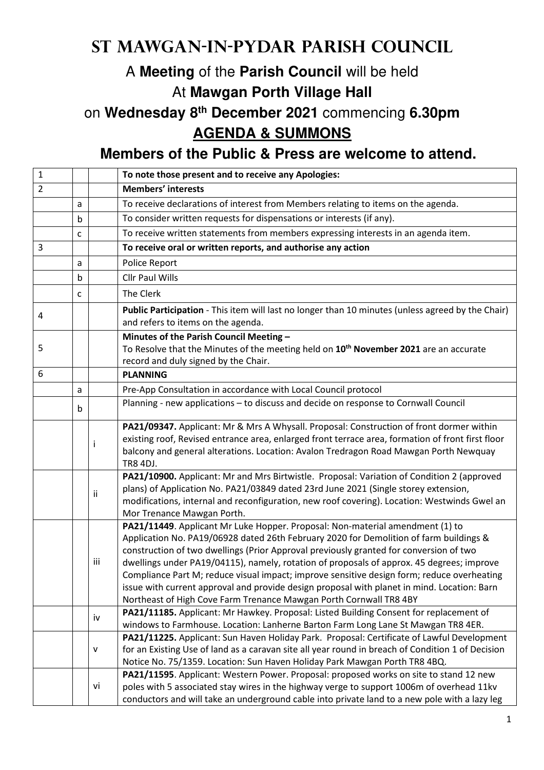## **St Mawgan-in-Pydar Parish Council**

## A **Meeting** of the **Parish Council** will be held At **Mawgan Porth Village Hall**

on **Wednesday 8th December 2021** commencing **6.30pm AGENDA & SUMMONS** 

**Members of the Public & Press are welcome to attend.** 

| $\mathbf{1}$   |   |              | To note those present and to receive any Apologies:                                                                                                                                                                                                                                                                                                                                                                                                                                                                                                                                                                               |
|----------------|---|--------------|-----------------------------------------------------------------------------------------------------------------------------------------------------------------------------------------------------------------------------------------------------------------------------------------------------------------------------------------------------------------------------------------------------------------------------------------------------------------------------------------------------------------------------------------------------------------------------------------------------------------------------------|
| $\overline{2}$ |   |              | <b>Members' interests</b>                                                                                                                                                                                                                                                                                                                                                                                                                                                                                                                                                                                                         |
|                | a |              | To receive declarations of interest from Members relating to items on the agenda.                                                                                                                                                                                                                                                                                                                                                                                                                                                                                                                                                 |
|                | b |              | To consider written requests for dispensations or interests (if any).                                                                                                                                                                                                                                                                                                                                                                                                                                                                                                                                                             |
|                | c |              | To receive written statements from members expressing interests in an agenda item.                                                                                                                                                                                                                                                                                                                                                                                                                                                                                                                                                |
| 3              |   |              | To receive oral or written reports, and authorise any action                                                                                                                                                                                                                                                                                                                                                                                                                                                                                                                                                                      |
|                | a |              | Police Report                                                                                                                                                                                                                                                                                                                                                                                                                                                                                                                                                                                                                     |
|                | b |              | <b>Cllr Paul Wills</b>                                                                                                                                                                                                                                                                                                                                                                                                                                                                                                                                                                                                            |
|                | c |              | The Clerk                                                                                                                                                                                                                                                                                                                                                                                                                                                                                                                                                                                                                         |
| 4              |   |              | Public Participation - This item will last no longer than 10 minutes (unless agreed by the Chair)<br>and refers to items on the agenda.                                                                                                                                                                                                                                                                                                                                                                                                                                                                                           |
| 5              |   |              | Minutes of the Parish Council Meeting -<br>To Resolve that the Minutes of the meeting held on 10 <sup>th</sup> November 2021 are an accurate<br>record and duly signed by the Chair.                                                                                                                                                                                                                                                                                                                                                                                                                                              |
| 6              |   |              | <b>PLANNING</b>                                                                                                                                                                                                                                                                                                                                                                                                                                                                                                                                                                                                                   |
|                | a |              | Pre-App Consultation in accordance with Local Council protocol                                                                                                                                                                                                                                                                                                                                                                                                                                                                                                                                                                    |
|                | b |              | Planning - new applications - to discuss and decide on response to Cornwall Council                                                                                                                                                                                                                                                                                                                                                                                                                                                                                                                                               |
|                |   | $\mathbf{I}$ | PA21/09347. Applicant: Mr & Mrs A Whysall. Proposal: Construction of front dormer within<br>existing roof, Revised entrance area, enlarged front terrace area, formation of front first floor<br>balcony and general alterations. Location: Avalon Tredragon Road Mawgan Porth Newquay<br><b>TR8 4DJ.</b>                                                                                                                                                                                                                                                                                                                         |
|                |   | Ϊİ           | PA21/10900. Applicant: Mr and Mrs Birtwistle. Proposal: Variation of Condition 2 (approved<br>plans) of Application No. PA21/03849 dated 23rd June 2021 (Single storey extension,<br>modifications, internal and reconfiguration, new roof covering). Location: Westwinds Gwel an<br>Mor Trenance Mawgan Porth.                                                                                                                                                                                                                                                                                                                   |
|                |   | iii          | PA21/11449. Applicant Mr Luke Hopper. Proposal: Non-material amendment (1) to<br>Application No. PA19/06928 dated 26th February 2020 for Demolition of farm buildings &<br>construction of two dwellings (Prior Approval previously granted for conversion of two<br>dwellings under PA19/04115), namely, rotation of proposals of approx. 45 degrees; improve<br>Compliance Part M; reduce visual impact; improve sensitive design form; reduce overheating<br>issue with current approval and provide design proposal with planet in mind. Location: Barn<br>Northeast of High Cove Farm Trenance Mawgan Porth Cornwall TR8 4BY |
|                |   | iv           | PA21/11185. Applicant: Mr Hawkey. Proposal: Listed Building Consent for replacement of<br>windows to Farmhouse. Location: Lanherne Barton Farm Long Lane St Mawgan TR8 4ER.                                                                                                                                                                                                                                                                                                                                                                                                                                                       |
|                |   | v            | PA21/11225. Applicant: Sun Haven Holiday Park. Proposal: Certificate of Lawful Development<br>for an Existing Use of land as a caravan site all year round in breach of Condition 1 of Decision<br>Notice No. 75/1359. Location: Sun Haven Holiday Park Mawgan Porth TR8 4BQ.                                                                                                                                                                                                                                                                                                                                                     |
|                |   | vi           | PA21/11595. Applicant: Western Power. Proposal: proposed works on site to stand 12 new<br>poles with 5 associated stay wires in the highway verge to support 1006m of overhead 11kv<br>conductors and will take an underground cable into private land to a new pole with a lazy leg                                                                                                                                                                                                                                                                                                                                              |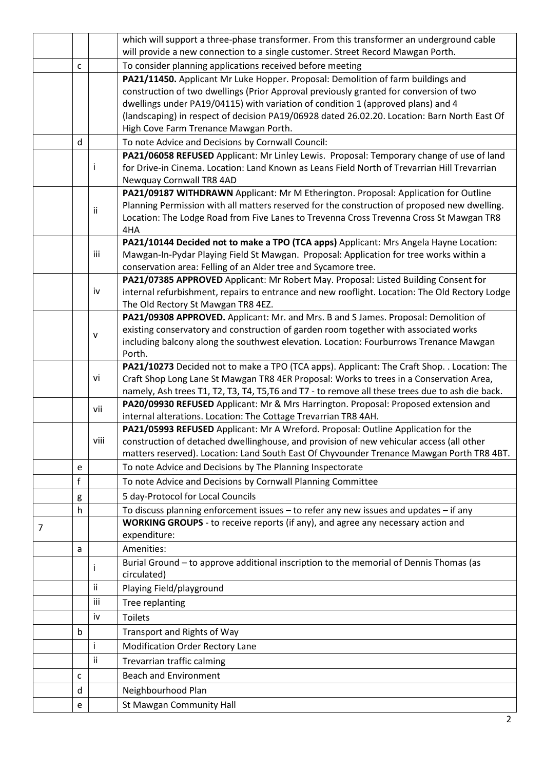|   |   |           | which will support a three-phase transformer. From this transformer an underground cable                                                                                              |
|---|---|-----------|---------------------------------------------------------------------------------------------------------------------------------------------------------------------------------------|
|   |   |           | will provide a new connection to a single customer. Street Record Mawgan Porth.                                                                                                       |
|   | C |           | To consider planning applications received before meeting                                                                                                                             |
|   |   |           | PA21/11450. Applicant Mr Luke Hopper. Proposal: Demolition of farm buildings and                                                                                                      |
|   |   |           | construction of two dwellings (Prior Approval previously granted for conversion of two                                                                                                |
|   |   |           | dwellings under PA19/04115) with variation of condition 1 (approved plans) and 4                                                                                                      |
|   |   |           | (landscaping) in respect of decision PA19/06928 dated 26.02.20. Location: Barn North East Of                                                                                          |
|   |   |           | High Cove Farm Trenance Mawgan Porth.                                                                                                                                                 |
|   | d |           | To note Advice and Decisions by Cornwall Council:                                                                                                                                     |
|   |   |           | PA21/06058 REFUSED Applicant: Mr Linley Lewis. Proposal: Temporary change of use of land                                                                                              |
|   |   | Ť         | for Drive-in Cinema. Location: Land Known as Leans Field North of Trevarrian Hill Trevarrian                                                                                          |
|   |   |           | Newquay Cornwall TR8 4AD                                                                                                                                                              |
|   |   |           | PA21/09187 WITHDRAWN Applicant: Mr M Etherington. Proposal: Application for Outline                                                                                                   |
|   |   | ii        | Planning Permission with all matters reserved for the construction of proposed new dwelling.                                                                                          |
|   |   |           | Location: The Lodge Road from Five Lanes to Trevenna Cross Trevenna Cross St Mawgan TR8                                                                                               |
|   |   |           | 4HA                                                                                                                                                                                   |
|   |   |           | PA21/10144 Decided not to make a TPO (TCA apps) Applicant: Mrs Angela Hayne Location:                                                                                                 |
|   |   | iii       | Mawgan-In-Pydar Playing Field St Mawgan. Proposal: Application for tree works within a                                                                                                |
|   |   |           | conservation area: Felling of an Alder tree and Sycamore tree.                                                                                                                        |
|   |   | iv        | PA21/07385 APPROVED Applicant: Mr Robert May. Proposal: Listed Building Consent for<br>internal refurbishment, repairs to entrance and new rooflight. Location: The Old Rectory Lodge |
|   |   |           | The Old Rectory St Mawgan TR8 4EZ.                                                                                                                                                    |
|   |   |           | PA21/09308 APPROVED. Applicant: Mr. and Mrs. B and S James. Proposal: Demolition of                                                                                                   |
|   |   |           | existing conservatory and construction of garden room together with associated works                                                                                                  |
|   |   | ${\sf v}$ | including balcony along the southwest elevation. Location: Fourburrows Trenance Mawgan                                                                                                |
|   |   |           | Porth.                                                                                                                                                                                |
|   |   |           | PA21/10273 Decided not to make a TPO (TCA apps). Applicant: The Craft Shop. . Location: The                                                                                           |
|   |   | vi        | Craft Shop Long Lane St Mawgan TR8 4ER Proposal: Works to trees in a Conservation Area,                                                                                               |
|   |   |           | namely, Ash trees T1, T2, T3, T4, T5, T6 and T7 - to remove all these trees due to ash die back.                                                                                      |
|   |   | vii       | PA20/09930 REFUSED Applicant: Mr & Mrs Harrington. Proposal: Proposed extension and                                                                                                   |
|   |   |           | internal alterations. Location: The Cottage Trevarrian TR8 4AH.                                                                                                                       |
|   |   |           | PA21/05993 REFUSED Applicant: Mr A Wreford. Proposal: Outline Application for the                                                                                                     |
|   |   | viii      | construction of detached dwellinghouse, and provision of new vehicular access (all other                                                                                              |
|   |   |           | matters reserved). Location: Land South East Of Chyvounder Trenance Mawgan Porth TR8 4BT.                                                                                             |
|   | e |           | To note Advice and Decisions by The Planning Inspectorate                                                                                                                             |
|   | f |           | To note Advice and Decisions by Cornwall Planning Committee                                                                                                                           |
|   | g |           | 5 day-Protocol for Local Councils                                                                                                                                                     |
|   | h |           | To discuss planning enforcement issues - to refer any new issues and updates - if any                                                                                                 |
| 7 |   |           | WORKING GROUPS - to receive reports (if any), and agree any necessary action and                                                                                                      |
|   |   |           | expenditure:                                                                                                                                                                          |
|   | а |           | Amenities:                                                                                                                                                                            |
|   |   |           | Burial Ground - to approve additional inscription to the memorial of Dennis Thomas (as                                                                                                |
|   |   |           | circulated)                                                                                                                                                                           |
|   |   | ii        | Playing Field/playground                                                                                                                                                              |
|   |   | iii       | Tree replanting                                                                                                                                                                       |
|   |   | iv        | <b>Toilets</b>                                                                                                                                                                        |
|   | b |           | Transport and Rights of Way                                                                                                                                                           |
|   |   | Ť         | Modification Order Rectory Lane                                                                                                                                                       |
|   |   | ij        | Trevarrian traffic calming                                                                                                                                                            |
|   |   |           | <b>Beach and Environment</b>                                                                                                                                                          |
|   | c |           |                                                                                                                                                                                       |
|   | d |           | Neighbourhood Plan                                                                                                                                                                    |
|   | e |           | St Mawgan Community Hall                                                                                                                                                              |